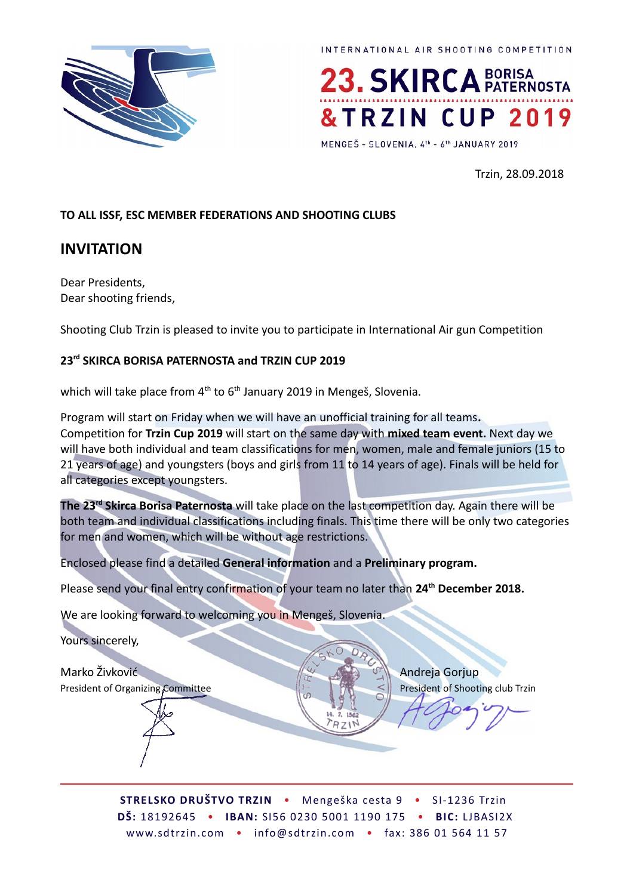



MENGEŠ - SLOVENIA, 4th - 6th JANUARY 2019

Trzin, 28.09.2018

#### **TO ALL ISSF, ESC MEMBER FEDERATIONS AND SHOOTING CLUBS**

### **INVITATION**

Dear Presidents, Dear shooting friends,

Shooting Club Trzin is pleased to invite you to participate in International Air gun Competition

#### **23rd SKIRCA BORISA PATERNOSTA and TRZIN CUP 2019**

which will take place from  $4<sup>th</sup>$  to  $6<sup>th</sup>$  January 2019 in Mengeš, Slovenia.

Program will start on Friday when we will have an unofficial training for all teams**.** Competition for **Trzin Cup 2019** will start on the same day with **mixed team event.** Next day we will have both individual and team classifications for men, women, male and female juniors (15 to 21 years of age) and youngsters (boys and girls from 11 to 14 years of age). Finals will be held for all categories except youngsters.

**The 23rd Skirca Borisa Paternosta** will take place on the last competition day. Again there will be both team and individual classifications including finals. This time there will be only two categories for men and women, which will be without age restrictions.

Enclosed please find a detailed **General information** and a **Preliminary program.**

Please send your final entry confirmation of your team no later than **24th December 2018.** 

We are looking forward to welcoming you in Mengeš, Slovenia.

Yours sincerely,

Marko Živković Andreja Gorjup Andreja Gorjup President of Organizing Committee  $\|\cdot\|$  President of Shooting club Trzin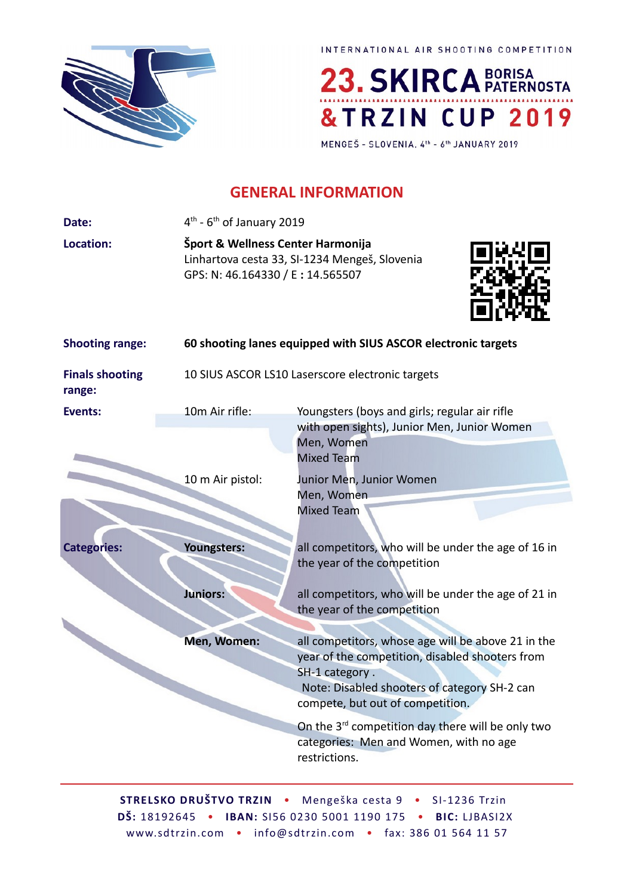

23. SKIRCA BORISA &TRZIN CUP 2019

MENGEŠ - SLOVENIA, 4th - 6th JANUARY 2019

## **GENERAL INFORMATION**

| Šport & Wellness Center Harmonija<br>Linhartova cesta 33, SI-1234 Mengeš, Slovenia<br>GPS: N: 46.164330 / E: 14.565507                                                                                                 |  |  |
|------------------------------------------------------------------------------------------------------------------------------------------------------------------------------------------------------------------------|--|--|
| 60 shooting lanes equipped with SIUS ASCOR electronic targets                                                                                                                                                          |  |  |
| 10 SIUS ASCOR LS10 Laserscore electronic targets                                                                                                                                                                       |  |  |
| with open sights), Junior Men, Junior Women                                                                                                                                                                            |  |  |
|                                                                                                                                                                                                                        |  |  |
| all competitors, who will be under the age of 16 in                                                                                                                                                                    |  |  |
| all competitors, who will be under the age of 21 in                                                                                                                                                                    |  |  |
| all competitors, whose age will be above 21 in the<br>year of the competition, disabled shooters from<br>Note: Disabled shooters of category SH-2 can<br>On the 3 <sup>rd</sup> competition day there will be only two |  |  |
|                                                                                                                                                                                                                        |  |  |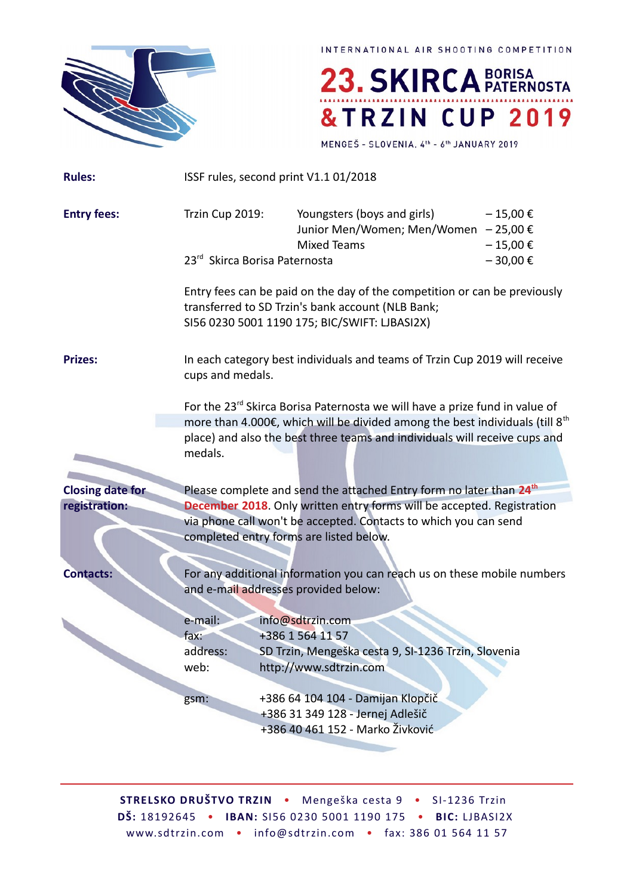

23. SKIRCA BORISA &TRZIN CUP 2019

MENGEŠ - SLOVENIA, 4th - 6th JANUARY 2019

| <b>Rules:</b>           |                                                                             | ISSF rules, second print V1.1 01/2018                                                                                                                                           |                              |  |
|-------------------------|-----------------------------------------------------------------------------|---------------------------------------------------------------------------------------------------------------------------------------------------------------------------------|------------------------------|--|
| <b>Entry fees:</b>      | Trzin Cup 2019:                                                             | Youngsters (boys and girls)<br>Junior Men/Women; Men/Women - 25,00 €<br><b>Mixed Teams</b>                                                                                      | $-15,00 \in$<br>$-15,00 \in$ |  |
|                         | 23rd Skirca Borisa Paternosta                                               |                                                                                                                                                                                 | $-30,00 \in$                 |  |
|                         |                                                                             | Entry fees can be paid on the day of the competition or can be previously<br>transferred to SD Trzin's bank account (NLB Bank;<br>SI56 0230 5001 1190 175; BIC/SWIFT: LJBASI2X) |                              |  |
| <b>Prizes:</b>          | cups and medals.                                                            | In each category best individuals and teams of Trzin Cup 2019 will receive                                                                                                      |                              |  |
|                         | For the 23rd Skirca Borisa Paternosta we will have a prize fund in value of |                                                                                                                                                                                 |                              |  |
|                         |                                                                             | more than 4.000€, which will be divided among the best individuals (till 8 <sup>th</sup>                                                                                        |                              |  |
|                         | medals.                                                                     | place) and also the best three teams and individuals will receive cups and                                                                                                      |                              |  |
| <b>Closing date for</b> |                                                                             | Please complete and send the attached Entry form no later than 24 <sup>th</sup>                                                                                                 |                              |  |
| registration:           |                                                                             | December 2018. Only written entry forms will be accepted. Registration                                                                                                          |                              |  |
|                         |                                                                             | via phone call won't be accepted. Contacts to which you can send                                                                                                                |                              |  |
|                         |                                                                             | completed entry forms are listed below.                                                                                                                                         |                              |  |
|                         |                                                                             |                                                                                                                                                                                 |                              |  |
| <b>Contacts:</b>        |                                                                             | For any additional information you can reach us on these mobile numbers                                                                                                         |                              |  |
|                         |                                                                             | and e-mail addresses provided below:                                                                                                                                            |                              |  |
|                         | e-mail:                                                                     | info@sdtrzin.com                                                                                                                                                                |                              |  |
|                         | $\mathsf{tax}$ :                                                            | +386 1 564 11 57                                                                                                                                                                |                              |  |
|                         | address:                                                                    | SD Trzin, Mengeška cesta 9, SI-1236 Trzin, Slovenia                                                                                                                             |                              |  |
|                         | web:                                                                        | http://www.sdtrzin.com                                                                                                                                                          |                              |  |
|                         |                                                                             | +386 64 104 104 - Damijan Klopčič                                                                                                                                               |                              |  |
|                         | gsm:                                                                        | +386 31 349 128 - Jernej Adlešič                                                                                                                                                |                              |  |
|                         |                                                                             | +386 40 461 152 - Marko Živković                                                                                                                                                |                              |  |
|                         |                                                                             |                                                                                                                                                                                 |                              |  |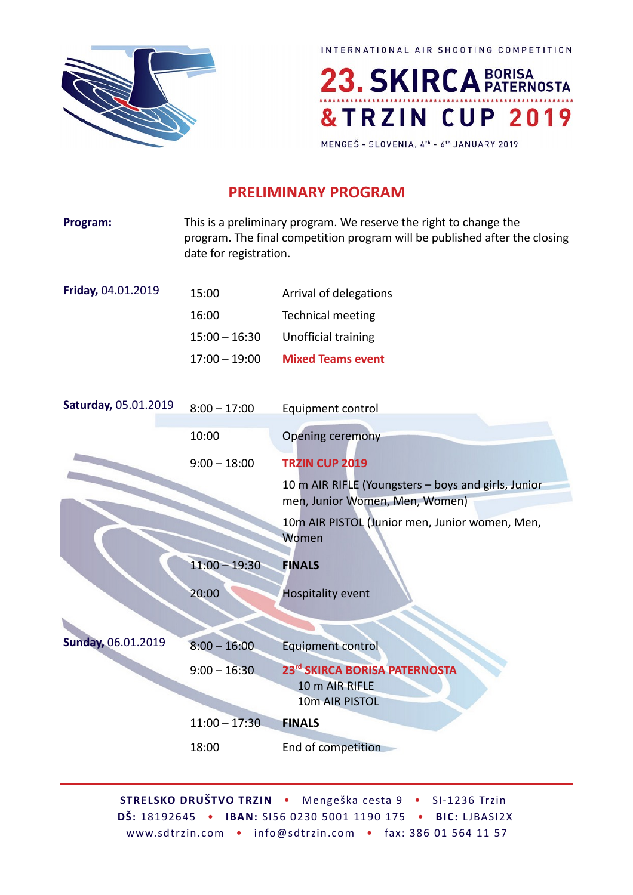



MENGEŠ - SLOVENIA, 4th - 6th JANUARY 2019

# **PRELIMINARY PROGRAM**

| Program:             | This is a preliminary program. We reserve the right to change the<br>program. The final competition program will be published after the closing<br>date for registration. |                                                                                       |  |
|----------------------|---------------------------------------------------------------------------------------------------------------------------------------------------------------------------|---------------------------------------------------------------------------------------|--|
| Friday, 04.01.2019   | 15:00                                                                                                                                                                     | Arrival of delegations                                                                |  |
|                      | 16:00                                                                                                                                                                     | <b>Technical meeting</b>                                                              |  |
|                      | $15:00 - 16:30$                                                                                                                                                           | Unofficial training                                                                   |  |
|                      | $17:00 - 19:00$                                                                                                                                                           | <b>Mixed Teams event</b>                                                              |  |
| Saturday, 05.01.2019 | $8:00 - 17:00$                                                                                                                                                            | Equipment control                                                                     |  |
|                      | 10:00                                                                                                                                                                     | <b>Opening ceremony</b>                                                               |  |
|                      | $9:00 - 18:00$                                                                                                                                                            | TRZIN CUP 2019                                                                        |  |
|                      |                                                                                                                                                                           | 10 m AIR RIFLE (Youngsters - boys and girls, Junior<br>men, Junior Women, Men, Women) |  |
|                      |                                                                                                                                                                           | 10m AIR PISTOL (Junior men, Junior women, Men,<br>Women                               |  |
|                      | $11:00 - 19:30$                                                                                                                                                           | <b>FINALS</b>                                                                         |  |
|                      | 20:00                                                                                                                                                                     | <b>Hospitality event</b>                                                              |  |
|                      |                                                                                                                                                                           |                                                                                       |  |
| Sunday, 06.01.2019   | $8:00 - 16:00$                                                                                                                                                            | Equipment control                                                                     |  |
|                      | $9:00 - 16:30$                                                                                                                                                            | 23rd SKIRCA BORISA PATERNOSTA<br>10 m AIR RIFLE<br>10m AIR PISTOL                     |  |
|                      | $11:00 - 17:30$                                                                                                                                                           | <b>FINALS</b>                                                                         |  |
|                      | 18:00                                                                                                                                                                     | End of competition                                                                    |  |